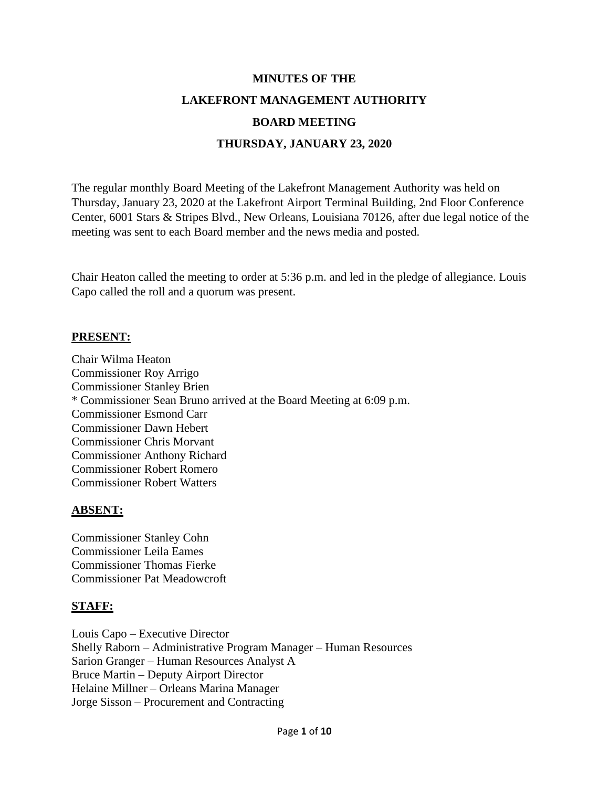# **MINUTES OF THE LAKEFRONT MANAGEMENT AUTHORITY BOARD MEETING THURSDAY, JANUARY 23, 2020**

The regular monthly Board Meeting of the Lakefront Management Authority was held on Thursday, January 23, 2020 at the Lakefront Airport Terminal Building, 2nd Floor Conference Center, 6001 Stars & Stripes Blvd., New Orleans, Louisiana 70126, after due legal notice of the meeting was sent to each Board member and the news media and posted.

Chair Heaton called the meeting to order at 5:36 p.m. and led in the pledge of allegiance. Louis Capo called the roll and a quorum was present.

#### **PRESENT:**

Chair Wilma Heaton Commissioner Roy Arrigo Commissioner Stanley Brien \* Commissioner Sean Bruno arrived at the Board Meeting at 6:09 p.m. Commissioner Esmond Carr Commissioner Dawn Hebert Commissioner Chris Morvant Commissioner Anthony Richard Commissioner Robert Romero Commissioner Robert Watters

#### **ABSENT:**

Commissioner Stanley Cohn Commissioner Leila Eames Commissioner Thomas Fierke Commissioner Pat Meadowcroft

# **STAFF:**

Louis Capo – Executive Director Shelly Raborn – Administrative Program Manager – Human Resources Sarion Granger – Human Resources Analyst A Bruce Martin – Deputy Airport Director Helaine Millner – Orleans Marina Manager Jorge Sisson – Procurement and Contracting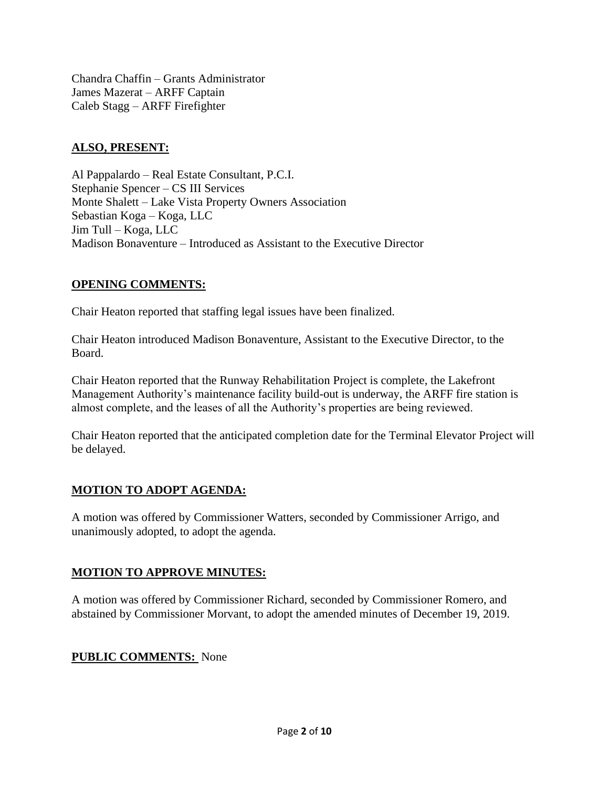Chandra Chaffin – Grants Administrator James Mazerat – ARFF Captain Caleb Stagg – ARFF Firefighter

#### **ALSO, PRESENT:**

Al Pappalardo – Real Estate Consultant, P.C.I. Stephanie Spencer – CS III Services Monte Shalett – Lake Vista Property Owners Association Sebastian Koga – Koga, LLC Jim Tull – Koga, LLC Madison Bonaventure – Introduced as Assistant to the Executive Director

#### **OPENING COMMENTS:**

Chair Heaton reported that staffing legal issues have been finalized.

Chair Heaton introduced Madison Bonaventure, Assistant to the Executive Director, to the Board.

Chair Heaton reported that the Runway Rehabilitation Project is complete, the Lakefront Management Authority's maintenance facility build-out is underway, the ARFF fire station is almost complete, and the leases of all the Authority's properties are being reviewed.

Chair Heaton reported that the anticipated completion date for the Terminal Elevator Project will be delayed.

#### **MOTION TO ADOPT AGENDA:**

A motion was offered by Commissioner Watters, seconded by Commissioner Arrigo, and unanimously adopted, to adopt the agenda.

#### **MOTION TO APPROVE MINUTES:**

A motion was offered by Commissioner Richard, seconded by Commissioner Romero, and abstained by Commissioner Morvant, to adopt the amended minutes of December 19, 2019.

#### **PUBLIC COMMENTS:** None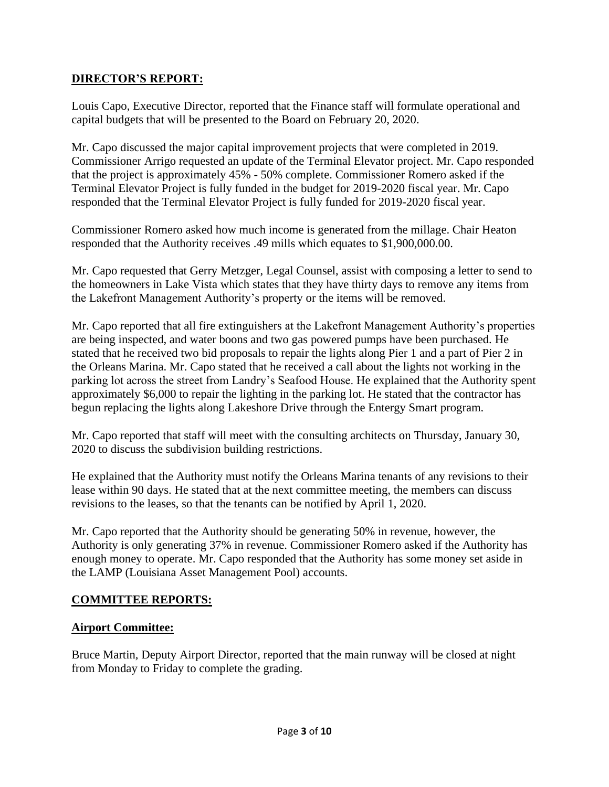#### **DIRECTOR'S REPORT:**

Louis Capo, Executive Director, reported that the Finance staff will formulate operational and capital budgets that will be presented to the Board on February 20, 2020.

Mr. Capo discussed the major capital improvement projects that were completed in 2019. Commissioner Arrigo requested an update of the Terminal Elevator project. Mr. Capo responded that the project is approximately 45% - 50% complete. Commissioner Romero asked if the Terminal Elevator Project is fully funded in the budget for 2019-2020 fiscal year. Mr. Capo responded that the Terminal Elevator Project is fully funded for 2019-2020 fiscal year.

Commissioner Romero asked how much income is generated from the millage. Chair Heaton responded that the Authority receives .49 mills which equates to \$1,900,000.00.

Mr. Capo requested that Gerry Metzger, Legal Counsel, assist with composing a letter to send to the homeowners in Lake Vista which states that they have thirty days to remove any items from the Lakefront Management Authority's property or the items will be removed.

Mr. Capo reported that all fire extinguishers at the Lakefront Management Authority's properties are being inspected, and water boons and two gas powered pumps have been purchased. He stated that he received two bid proposals to repair the lights along Pier 1 and a part of Pier 2 in the Orleans Marina. Mr. Capo stated that he received a call about the lights not working in the parking lot across the street from Landry's Seafood House. He explained that the Authority spent approximately \$6,000 to repair the lighting in the parking lot. He stated that the contractor has begun replacing the lights along Lakeshore Drive through the Entergy Smart program.

Mr. Capo reported that staff will meet with the consulting architects on Thursday, January 30, 2020 to discuss the subdivision building restrictions.

He explained that the Authority must notify the Orleans Marina tenants of any revisions to their lease within 90 days. He stated that at the next committee meeting, the members can discuss revisions to the leases, so that the tenants can be notified by April 1, 2020.

Mr. Capo reported that the Authority should be generating 50% in revenue, however, the Authority is only generating 37% in revenue. Commissioner Romero asked if the Authority has enough money to operate. Mr. Capo responded that the Authority has some money set aside in the LAMP (Louisiana Asset Management Pool) accounts.

#### **COMMITTEE REPORTS:**

#### **Airport Committee:**

Bruce Martin, Deputy Airport Director, reported that the main runway will be closed at night from Monday to Friday to complete the grading.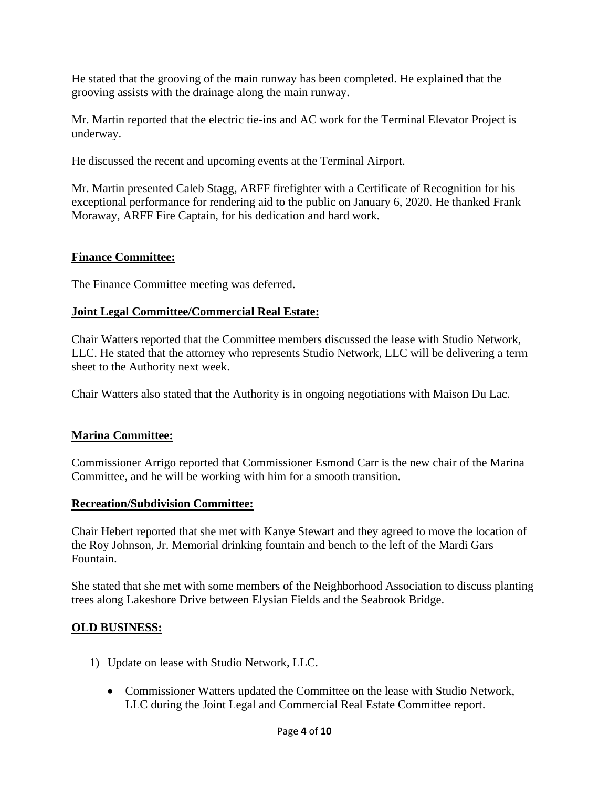He stated that the grooving of the main runway has been completed. He explained that the grooving assists with the drainage along the main runway.

Mr. Martin reported that the electric tie-ins and AC work for the Terminal Elevator Project is underway.

He discussed the recent and upcoming events at the Terminal Airport.

Mr. Martin presented Caleb Stagg, ARFF firefighter with a Certificate of Recognition for his exceptional performance for rendering aid to the public on January 6, 2020. He thanked Frank Moraway, ARFF Fire Captain, for his dedication and hard work.

#### **Finance Committee:**

The Finance Committee meeting was deferred.

#### **Joint Legal Committee/Commercial Real Estate:**

Chair Watters reported that the Committee members discussed the lease with Studio Network, LLC. He stated that the attorney who represents Studio Network, LLC will be delivering a term sheet to the Authority next week.

Chair Watters also stated that the Authority is in ongoing negotiations with Maison Du Lac.

# **Marina Committee:**

Commissioner Arrigo reported that Commissioner Esmond Carr is the new chair of the Marina Committee, and he will be working with him for a smooth transition.

#### **Recreation/Subdivision Committee:**

Chair Hebert reported that she met with Kanye Stewart and they agreed to move the location of the Roy Johnson, Jr. Memorial drinking fountain and bench to the left of the Mardi Gars Fountain.

She stated that she met with some members of the Neighborhood Association to discuss planting trees along Lakeshore Drive between Elysian Fields and the Seabrook Bridge.

# **OLD BUSINESS:**

- 1) Update on lease with Studio Network, LLC.
	- Commissioner Watters updated the Committee on the lease with Studio Network, LLC during the Joint Legal and Commercial Real Estate Committee report.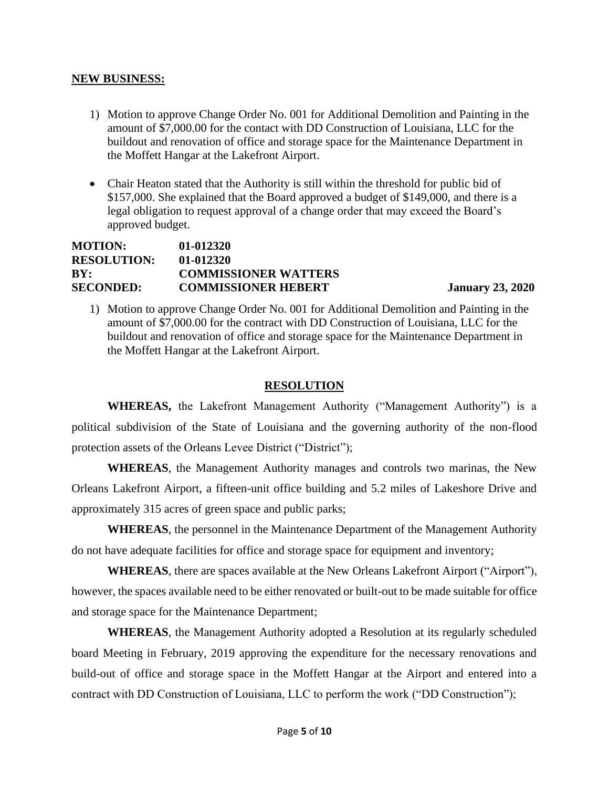#### **NEW BUSINESS:**

- 1) Motion to approve Change Order No. 001 for Additional Demolition and Painting in the amount of \$7,000.00 for the contact with DD Construction of Louisiana, LLC for the buildout and renovation of office and storage space for the Maintenance Department in the Moffett Hangar at the Lakefront Airport.
- Chair Heaton stated that the Authority is still within the threshold for public bid of \$157,000. She explained that the Board approved a budget of \$149,000, and there is a legal obligation to request approval of a change order that may exceed the Board's approved budget.

| <b>MOTION:</b>     | $01 - 012320$               |
|--------------------|-----------------------------|
| <b>RESOLUTION:</b> | $01 - 012320$               |
| BY:                | <b>COMMISSIONER WATTERS</b> |
| <b>SECONDED:</b>   | <b>COMMISSIONER HEBERT</b>  |

**January 23, 2020** 

1) Motion to approve Change Order No. 001 for Additional Demolition and Painting in the amount of \$7,000.00 for the contract with DD Construction of Louisiana, LLC for the buildout and renovation of office and storage space for the Maintenance Department in the Moffett Hangar at the Lakefront Airport.

#### **RESOLUTION**

**WHEREAS,** the Lakefront Management Authority ("Management Authority") is a political subdivision of the State of Louisiana and the governing authority of the non-flood protection assets of the Orleans Levee District ("District");

**WHEREAS**, the Management Authority manages and controls two marinas, the New Orleans Lakefront Airport, a fifteen-unit office building and 5.2 miles of Lakeshore Drive and approximately 315 acres of green space and public parks;

**WHEREAS**, the personnel in the Maintenance Department of the Management Authority do not have adequate facilities for office and storage space for equipment and inventory;

**WHEREAS**, there are spaces available at the New Orleans Lakefront Airport ("Airport"), however, the spaces available need to be either renovated or built-out to be made suitable for office and storage space for the Maintenance Department;

**WHEREAS**, the Management Authority adopted a Resolution at its regularly scheduled board Meeting in February, 2019 approving the expenditure for the necessary renovations and build-out of office and storage space in the Moffett Hangar at the Airport and entered into a contract with DD Construction of Louisiana, LLC to perform the work ("DD Construction");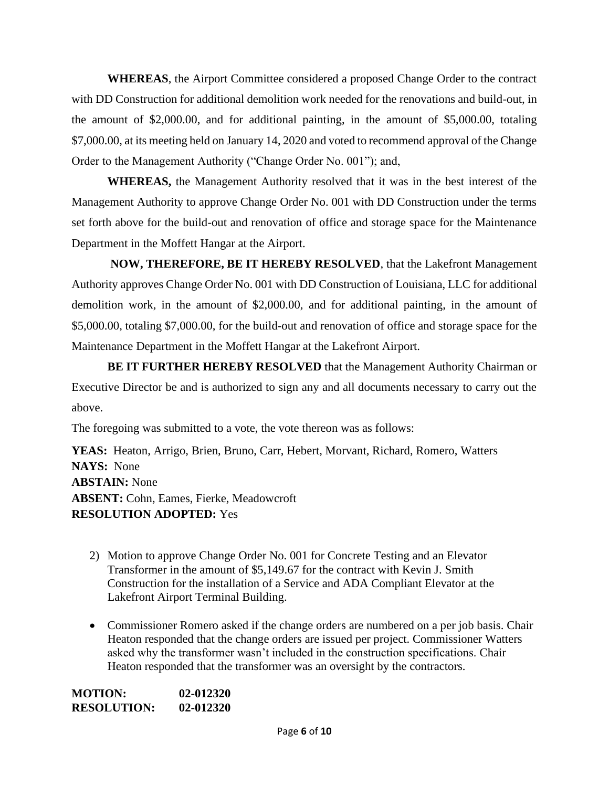**WHEREAS**, the Airport Committee considered a proposed Change Order to the contract with DD Construction for additional demolition work needed for the renovations and build-out, in the amount of \$2,000.00, and for additional painting, in the amount of \$5,000.00, totaling \$7,000.00, at its meeting held on January 14, 2020 and voted to recommend approval of the Change Order to the Management Authority ("Change Order No. 001"); and,

 **WHEREAS,** the Management Authority resolved that it was in the best interest of the Management Authority to approve Change Order No. 001 with DD Construction under the terms set forth above for the build-out and renovation of office and storage space for the Maintenance Department in the Moffett Hangar at the Airport.

**NOW, THEREFORE, BE IT HEREBY RESOLVED**, that the Lakefront Management Authority approves Change Order No. 001 with DD Construction of Louisiana, LLC for additional demolition work, in the amount of \$2,000.00, and for additional painting, in the amount of \$5,000.00, totaling \$7,000.00, for the build-out and renovation of office and storage space for the Maintenance Department in the Moffett Hangar at the Lakefront Airport.

**BE IT FURTHER HEREBY RESOLVED** that the Management Authority Chairman or Executive Director be and is authorized to sign any and all documents necessary to carry out the above.

The foregoing was submitted to a vote, the vote thereon was as follows:

**YEAS:** Heaton, Arrigo, Brien, Bruno, Carr, Hebert, Morvant, Richard, Romero, Watters **NAYS:** None **ABSTAIN:** None **ABSENT:** Cohn, Eames, Fierke, Meadowcroft **RESOLUTION ADOPTED:** Yes

- 2) Motion to approve Change Order No. 001 for Concrete Testing and an Elevator Transformer in the amount of \$5,149.67 for the contract with Kevin J. Smith Construction for the installation of a Service and ADA Compliant Elevator at the Lakefront Airport Terminal Building.
- Commissioner Romero asked if the change orders are numbered on a per job basis. Chair Heaton responded that the change orders are issued per project. Commissioner Watters asked why the transformer wasn't included in the construction specifications. Chair Heaton responded that the transformer was an oversight by the contractors.

| MOTION:            | 02-012320 |
|--------------------|-----------|
| <b>RESOLUTION:</b> | 02-012320 |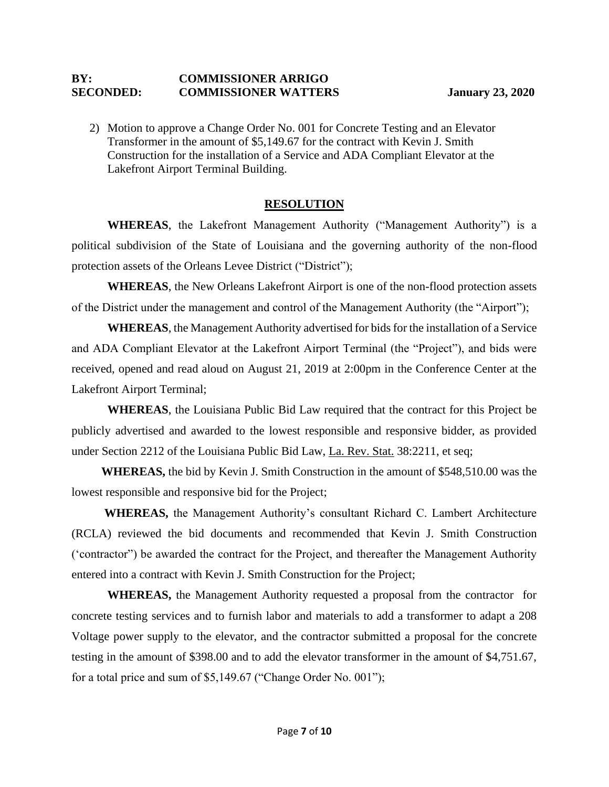#### **BY: COMMISSIONER ARRIGO SECONDED: COMMISSIONER WATTERS January 23, 2020**

2) Motion to approve a Change Order No. 001 for Concrete Testing and an Elevator Transformer in the amount of \$5,149.67 for the contract with Kevin J. Smith Construction for the installation of a Service and ADA Compliant Elevator at the Lakefront Airport Terminal Building.

#### **RESOLUTION**

**WHEREAS**, the Lakefront Management Authority ("Management Authority") is a political subdivision of the State of Louisiana and the governing authority of the non-flood protection assets of the Orleans Levee District ("District");

**WHEREAS**, the New Orleans Lakefront Airport is one of the non-flood protection assets of the District under the management and control of the Management Authority (the "Airport");

**WHEREAS**, the Management Authority advertised for bids for the installation of a Service and ADA Compliant Elevator at the Lakefront Airport Terminal (the "Project"), and bids were received, opened and read aloud on August 21, 2019 at 2:00pm in the Conference Center at the Lakefront Airport Terminal;

**WHEREAS**, the Louisiana Public Bid Law required that the contract for this Project be publicly advertised and awarded to the lowest responsible and responsive bidder, as provided under Section 2212 of the Louisiana Public Bid Law, La. Rev. Stat. 38:2211, et seq;

 **WHEREAS,** the bid by Kevin J. Smith Construction in the amount of \$548,510.00 was the lowest responsible and responsive bid for the Project;

 **WHEREAS,** the Management Authority's consultant Richard C. Lambert Architecture (RCLA) reviewed the bid documents and recommended that Kevin J. Smith Construction ('contractor") be awarded the contract for the Project, and thereafter the Management Authority entered into a contract with Kevin J. Smith Construction for the Project;

 **WHEREAS,** the Management Authority requested a proposal from the contractor for concrete testing services and to furnish labor and materials to add a transformer to adapt a 208 Voltage power supply to the elevator, and the contractor submitted a proposal for the concrete testing in the amount of \$398.00 and to add the elevator transformer in the amount of \$4,751.67, for a total price and sum of \$5,149.67 ("Change Order No. 001");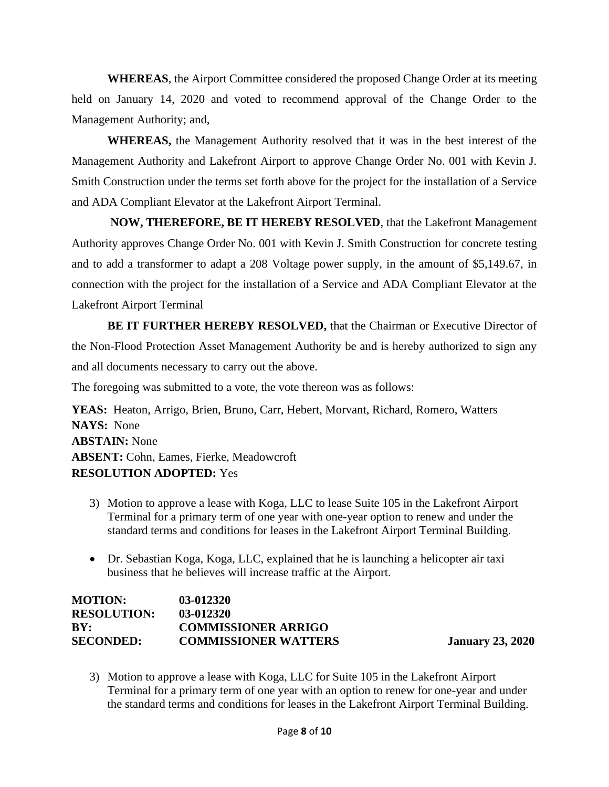**WHEREAS**, the Airport Committee considered the proposed Change Order at its meeting held on January 14, 2020 and voted to recommend approval of the Change Order to the Management Authority; and,

 **WHEREAS,** the Management Authority resolved that it was in the best interest of the Management Authority and Lakefront Airport to approve Change Order No. 001 with Kevin J. Smith Construction under the terms set forth above for the project for the installation of a Service and ADA Compliant Elevator at the Lakefront Airport Terminal.

**NOW, THEREFORE, BE IT HEREBY RESOLVED**, that the Lakefront Management Authority approves Change Order No. 001 with Kevin J. Smith Construction for concrete testing and to add a transformer to adapt a 208 Voltage power supply, in the amount of \$5,149.67, in connection with the project for the installation of a Service and ADA Compliant Elevator at the Lakefront Airport Terminal

**BE IT FURTHER HEREBY RESOLVED,** that the Chairman or Executive Director of the Non-Flood Protection Asset Management Authority be and is hereby authorized to sign any and all documents necessary to carry out the above.

The foregoing was submitted to a vote, the vote thereon was as follows:

**YEAS:** Heaton, Arrigo, Brien, Bruno, Carr, Hebert, Morvant, Richard, Romero, Watters **NAYS:** None **ABSTAIN:** None **ABSENT:** Cohn, Eames, Fierke, Meadowcroft **RESOLUTION ADOPTED:** Yes

- 3) Motion to approve a lease with Koga, LLC to lease Suite 105 in the Lakefront Airport Terminal for a primary term of one year with one-year option to renew and under the standard terms and conditions for leases in the Lakefront Airport Terminal Building.
- Dr. Sebastian Koga, Koga, LLC, explained that he is launching a helicopter air taxi business that he believes will increase traffic at the Airport.

| <b>MOTION:</b>     | 03-012320                   |
|--------------------|-----------------------------|
| <b>RESOLUTION:</b> | 03-012320                   |
| BY:                | <b>COMMISSIONER ARRIGO</b>  |
| <b>SECONDED:</b>   | <b>COMMISSIONER WATTERS</b> |

**January 23, 2020** 

3) Motion to approve a lease with Koga, LLC for Suite 105 in the Lakefront Airport Terminal for a primary term of one year with an option to renew for one-year and under the standard terms and conditions for leases in the Lakefront Airport Terminal Building.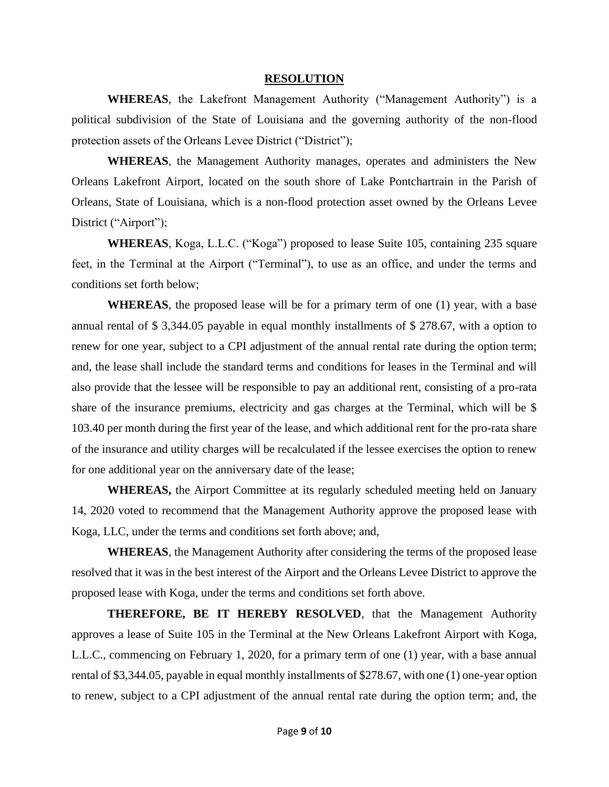#### **RESOLUTION**

**WHEREAS**, the Lakefront Management Authority ("Management Authority") is a political subdivision of the State of Louisiana and the governing authority of the non-flood protection assets of the Orleans Levee District ("District");

**WHEREAS**, the Management Authority manages, operates and administers the New Orleans Lakefront Airport, located on the south shore of Lake Pontchartrain in the Parish of Orleans, State of Louisiana, which is a non-flood protection asset owned by the Orleans Levee District ("Airport");

**WHEREAS**, Koga, L.L.C. ("Koga") proposed to lease Suite 105, containing 235 square feet, in the Terminal at the Airport ("Terminal"), to use as an office, and under the terms and conditions set forth below;

**WHEREAS**, the proposed lease will be for a primary term of one (1) year, with a base annual rental of \$ 3,344.05 payable in equal monthly installments of \$ 278.67, with a option to renew for one year, subject to a CPI adjustment of the annual rental rate during the option term; and, the lease shall include the standard terms and conditions for leases in the Terminal and will also provide that the lessee will be responsible to pay an additional rent, consisting of a pro-rata share of the insurance premiums, electricity and gas charges at the Terminal, which will be \$ 103.40 per month during the first year of the lease, and which additional rent for the pro-rata share of the insurance and utility charges will be recalculated if the lessee exercises the option to renew for one additional year on the anniversary date of the lease;

**WHEREAS,** the Airport Committee at its regularly scheduled meeting held on January 14, 2020 voted to recommend that the Management Authority approve the proposed lease with Koga, LLC, under the terms and conditions set forth above; and,

**WHEREAS**, the Management Authority after considering the terms of the proposed lease resolved that it was in the best interest of the Airport and the Orleans Levee District to approve the proposed lease with Koga, under the terms and conditions set forth above.

**THEREFORE, BE IT HEREBY RESOLVED**, that the Management Authority approves a lease of Suite 105 in the Terminal at the New Orleans Lakefront Airport with Koga, L.L.C., commencing on February 1, 2020, for a primary term of one (1) year, with a base annual rental of \$3,344.05, payable in equal monthly installments of \$278.67, with one (1) one-year option to renew, subject to a CPI adjustment of the annual rental rate during the option term; and, the